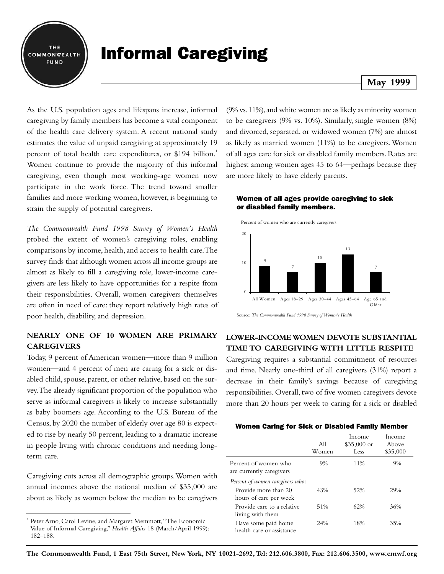

# Informal Caregiving

## As the U.S. population ages and lifespans increase, informal caregiving by family members has become a vital component of the health care delivery system. A recent national study estimates the value of unpaid caregiving at approximately 19 percent of total health care expenditures, or \$194 billion.<sup>1</sup> Women continue to provide the majority of this informal caregiving, even though most working-age women now participate in the work force. The trend toward smaller families and more working women, however, is beginning to strain the supply of potential caregivers.

*The Commonwealth Fund 1998 Survey of Women's Health* probed the extent of women's caregiving roles, enabling comparisons by income, health, and access to health care.The survey finds that although women across all income groups are almost as likely to fill a caregiving role, lower-income caregivers are less likely to have opportunities for a respite from their responsibilities. Overall, women caregivers themselves are often in need of care: they report relatively high rates of poor health, disability, and depression.

## **NEARLY ONE OF 10 WOMEN ARE PRIMARY CAREGIVERS**

Today, 9 percent of American women—more than 9 million women—and 4 percent of men are caring for a sick or disabled child, spouse, parent, or other relative, based on the survey.The already significant proportion of the population who serve as informal caregivers is likely to increase substantially as baby boomers age. According to the U.S. Bureau of the Census, by 2020 the number of elderly over age 80 is expected to rise by nearly 50 percent, leading to a dramatic increase in people living with chronic conditions and needing longterm care.

Caregiving cuts across all demographic groups.Women with annual incomes above the national median of \$35,000 are about as likely as women below the median to be caregivers

## **May 1999**

(9% vs.11%),and white women are as likely as minority women to be caregivers (9% vs. 10%). Similarly, single women (8%) and divorced, separated, or widowed women (7%) are almost as likely as married women (11%) to be caregivers.Women of all ages care for sick or disabled family members. Rates are highest among women ages 45 to 64—perhaps because they are more likely to have elderly parents.

#### Women of all ages provide caregiving to sick or disabled family members.



Source: *The Commonwealth Fund 1998 Survey of Women's Health*

## **LOWER-INCOME WOMEN DEVOTE SUBSTANTIAL TIME TO CAREGIVING WITH LITTLE RESPITE**

Caregiving requires a substantial commitment of resources and time. Nearly one-third of all caregivers (31%) report a decrease in their family's savings because of caregiving responsibilities. Overall, two of five women caregivers devote more than 20 hours per week to caring for a sick or disabled

| <b>Women Caring for Sick or Disabled Family Member</b> |  |  |  |  |
|--------------------------------------------------------|--|--|--|--|
|--------------------------------------------------------|--|--|--|--|

|                                                  | All<br>Women | Income<br>$$35,000$ or<br>Less | Income<br>Above<br>\$35,000 |
|--------------------------------------------------|--------------|--------------------------------|-----------------------------|
| Percent of women who<br>are currently caregivers | 9%           | 11%                            | 9%                          |
| Percent of women caregivers who:                 |              |                                |                             |
| Provide more than 20<br>hours of care per week   | 43%          | 52%                            | 29%                         |
| Provide care to a relative<br>living with them   | 51%          | 62%                            | 36%                         |
| Have some paid home<br>health care or assistance | 24%          | 18%                            | 35%                         |

<sup>&</sup>lt;sup>1</sup> Peter Arno, Carol Levine, and Margaret Memmott, "The Economic Value of Informal Caregiving," *Health Affairs* 18 (March/April 1999): 182–188.